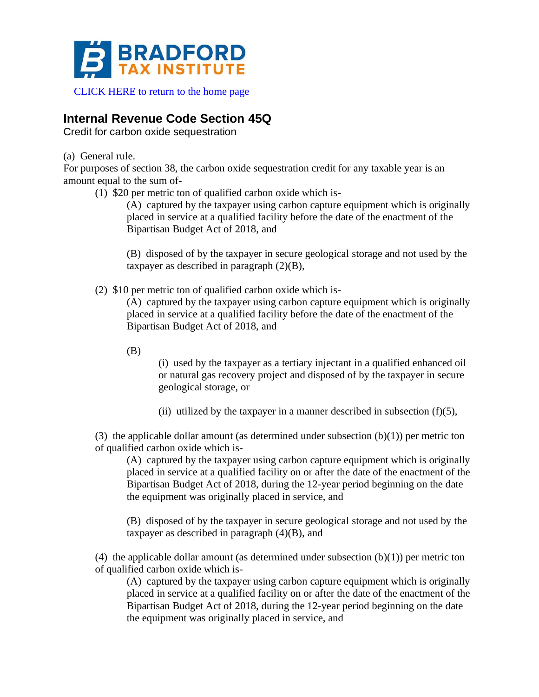

[CLICK HERE to return to the home page](https://www.bradfordtaxinstitute.com)

# **Internal Revenue Code Section 45Q**

Credit for carbon oxide sequestration

(a) General rule.

For purposes of section 38, the carbon oxide sequestration credit for any taxable year is an amount equal to the sum of-

(1) \$20 per metric ton of qualified carbon oxide which is-

(A) captured by the taxpayer using carbon capture equipment which is originally placed in service at a qualified facility before the date of the enactment of the Bipartisan Budget Act of 2018, and

(B) disposed of by the taxpayer in secure geological storage and not used by the taxpayer as described in paragraph  $(2)(B)$ ,

(2) \$10 per metric ton of qualified carbon oxide which is-

(A) captured by the taxpayer using carbon capture equipment which is originally placed in service at a qualified facility before the date of the enactment of the Bipartisan Budget Act of 2018, and

(B)

(i) used by the taxpayer as a tertiary injectant in a qualified enhanced oil or natural gas recovery project and disposed of by the taxpayer in secure geological storage, or

(ii) utilized by the taxpayer in a manner described in subsection  $(f)(5)$ ,

(3) the applicable dollar amount (as determined under subsection  $(b)(1)$ ) per metric ton of qualified carbon oxide which is-

(A) captured by the taxpayer using carbon capture equipment which is originally placed in service at a qualified facility on or after the date of the enactment of the Bipartisan Budget Act of 2018, during the 12-year period beginning on the date the equipment was originally placed in service, and

(B) disposed of by the taxpayer in secure geological storage and not used by the taxpayer as described in paragraph  $(4)(B)$ , and

(4) the applicable dollar amount (as determined under subsection  $(b)(1)$ ) per metric ton of qualified carbon oxide which is-

(A) captured by the taxpayer using carbon capture equipment which is originally placed in service at a qualified facility on or after the date of the enactment of the Bipartisan Budget Act of 2018, during the 12-year period beginning on the date the equipment was originally placed in service, and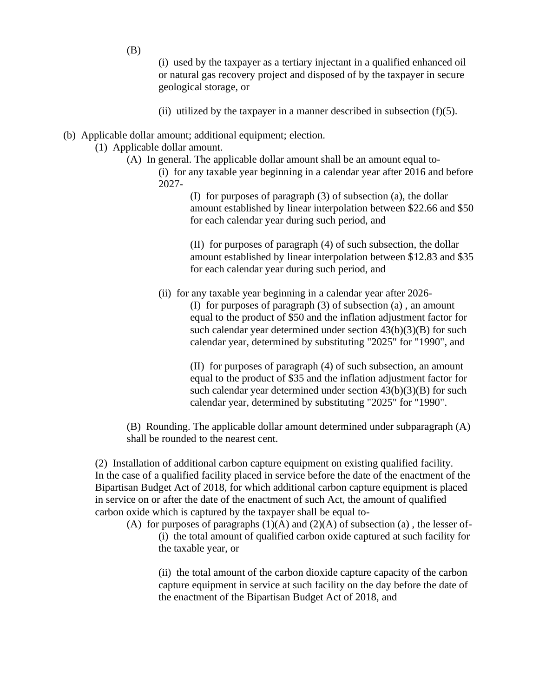(i) used by the taxpayer as a tertiary injectant in a qualified enhanced oil or natural gas recovery project and disposed of by the taxpayer in secure geological storage, or

- (ii) utilized by the taxpayer in a manner described in subsection  $(f)(5)$ .
- (b) Applicable dollar amount; additional equipment; election.
	- (1) Applicable dollar amount.
		- (A) In general. The applicable dollar amount shall be an amount equal to-
			- (i) for any taxable year beginning in a calendar year after 2016 and before 2027-

(I) for purposes of paragraph (3) of subsection (a), the dollar amount established by linear interpolation between \$22.66 and \$50 for each calendar year during such period, and

(II) for purposes of paragraph (4) of such subsection, the dollar amount established by linear interpolation between \$12.83 and \$35 for each calendar year during such period, and

(ii) for any taxable year beginning in a calendar year after 2026-

(I) for purposes of paragraph (3) of subsection (a) , an amount equal to the product of \$50 and the inflation adjustment factor for such calendar year determined under section  $43(b)(3)(B)$  for such calendar year, determined by substituting "2025" for "1990", and

(II) for purposes of paragraph (4) of such subsection, an amount equal to the product of \$35 and the inflation adjustment factor for such calendar year determined under section  $43(b)(3)(B)$  for such calendar year, determined by substituting "2025" for "1990".

(B) Rounding. The applicable dollar amount determined under subparagraph (A) shall be rounded to the nearest cent.

(2) Installation of additional carbon capture equipment on existing qualified facility. In the case of a qualified facility placed in service before the date of the enactment of the Bipartisan Budget Act of 2018, for which additional carbon capture equipment is placed in service on or after the date of the enactment of such Act, the amount of qualified carbon oxide which is captured by the taxpayer shall be equal to-

(A) for purposes of paragraphs  $(1)(A)$  and  $(2)(A)$  of subsection (a), the lesser of-(i) the total amount of qualified carbon oxide captured at such facility for the taxable year, or

(ii) the total amount of the carbon dioxide capture capacity of the carbon capture equipment in service at such facility on the day before the date of the enactment of the Bipartisan Budget Act of 2018, and

(B)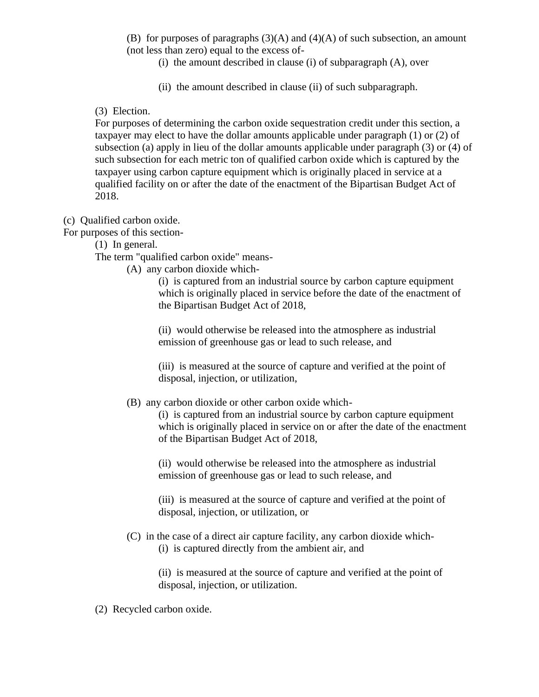(B) for purposes of paragraphs  $(3)(A)$  and  $(4)(A)$  of such subsection, an amount (not less than zero) equal to the excess of-

- (i) the amount described in clause (i) of subparagraph (A), over
- (ii) the amount described in clause (ii) of such subparagraph.

# (3) Election.

For purposes of determining the carbon oxide sequestration credit under this section, a taxpayer may elect to have the dollar amounts applicable under paragraph (1) or (2) of subsection (a) apply in lieu of the dollar amounts applicable under paragraph (3) or (4) of such subsection for each metric ton of qualified carbon oxide which is captured by the taxpayer using carbon capture equipment which is originally placed in service at a qualified facility on or after the date of the enactment of the Bipartisan Budget Act of 2018.

# (c) Qualified carbon oxide.

For purposes of this section-

(1) In general.

The term "qualified carbon oxide" means-

(A) any carbon dioxide which-

(i) is captured from an industrial source by carbon capture equipment which is originally placed in service before the date of the enactment of the Bipartisan Budget Act of 2018,

(ii) would otherwise be released into the atmosphere as industrial emission of greenhouse gas or lead to such release, and

(iii) is measured at the source of capture and verified at the point of disposal, injection, or utilization,

(B) any carbon dioxide or other carbon oxide which-

(i) is captured from an industrial source by carbon capture equipment which is originally placed in service on or after the date of the enactment of the Bipartisan Budget Act of 2018,

(ii) would otherwise be released into the atmosphere as industrial emission of greenhouse gas or lead to such release, and

(iii) is measured at the source of capture and verified at the point of disposal, injection, or utilization, or

(C) in the case of a direct air capture facility, any carbon dioxide which- (i) is captured directly from the ambient air, and

> (ii) is measured at the source of capture and verified at the point of disposal, injection, or utilization.

(2) Recycled carbon oxide.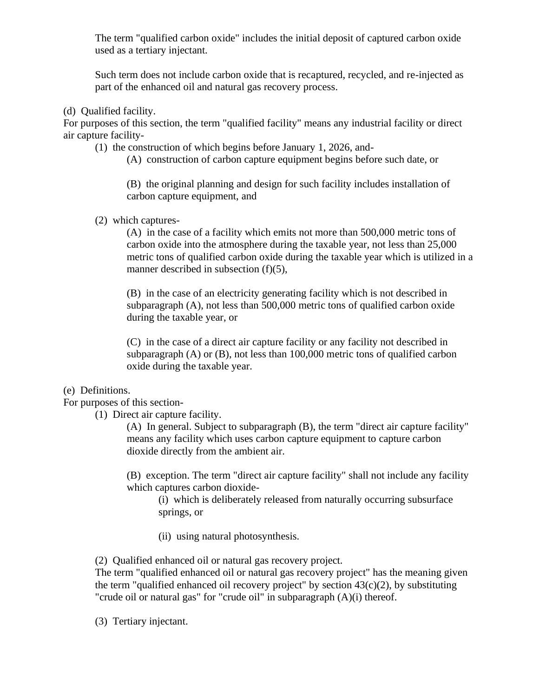The term "qualified carbon oxide" includes the initial deposit of captured carbon oxide used as a tertiary injectant.

Such term does not include carbon oxide that is recaptured, recycled, and re-injected as part of the enhanced oil and natural gas recovery process.

(d) Qualified facility.

For purposes of this section, the term "qualified facility" means any industrial facility or direct air capture facility-

(1) the construction of which begins before January 1, 2026, and-

(A) construction of carbon capture equipment begins before such date, or

(B) the original planning and design for such facility includes installation of carbon capture equipment, and

(2) which captures-

(A) in the case of a facility which emits not more than 500,000 metric tons of carbon oxide into the atmosphere during the taxable year, not less than 25,000 metric tons of qualified carbon oxide during the taxable year which is utilized in a manner described in subsection (f)(5),

(B) in the case of an electricity generating facility which is not described in subparagraph (A), not less than 500,000 metric tons of qualified carbon oxide during the taxable year, or

(C) in the case of a direct air capture facility or any facility not described in subparagraph (A) or (B), not less than 100,000 metric tons of qualified carbon oxide during the taxable year.

## (e) Definitions.

For purposes of this section-

(1) Direct air capture facility.

(A) In general. Subject to subparagraph (B), the term "direct air capture facility" means any facility which uses carbon capture equipment to capture carbon dioxide directly from the ambient air.

(B) exception. The term "direct air capture facility" shall not include any facility which captures carbon dioxide-

(i) which is deliberately released from naturally occurring subsurface springs, or

(ii) using natural photosynthesis.

(2) Qualified enhanced oil or natural gas recovery project.

The term "qualified enhanced oil or natural gas recovery project" has the meaning given the term "qualified enhanced oil recovery project" by section  $43(c)(2)$ , by substituting "crude oil or natural gas" for "crude oil" in subparagraph (A)(i) thereof.

(3) Tertiary injectant.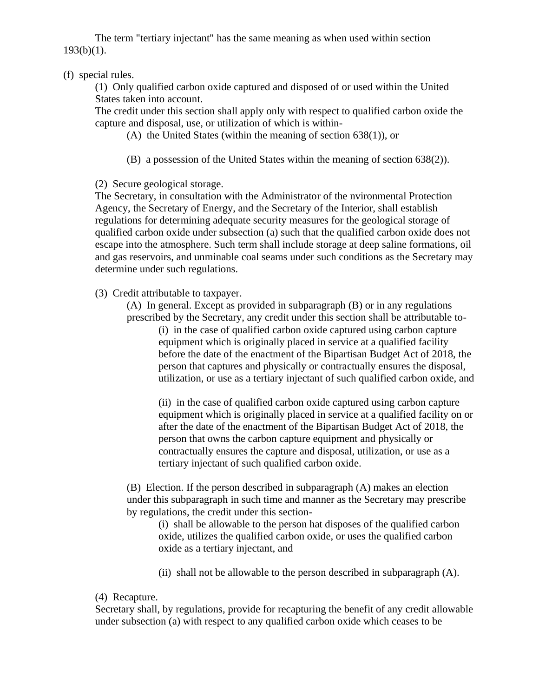The term "tertiary injectant" has the same meaning as when used within section  $193(b)(1)$ .

# (f) special rules.

(1) Only qualified carbon oxide captured and disposed of or used within the United States taken into account.

The credit under this section shall apply only with respect to qualified carbon oxide the capture and disposal, use, or utilization of which is within-

- (A) the United States (within the meaning of section 638(1)), or
- (B) a possession of the United States within the meaning of section 638(2)).

## (2) Secure geological storage.

The Secretary, in consultation with the Administrator of the nvironmental Protection Agency, the Secretary of Energy, and the Secretary of the Interior, shall establish regulations for determining adequate security measures for the geological storage of qualified carbon oxide under subsection (a) such that the qualified carbon oxide does not escape into the atmosphere. Such term shall include storage at deep saline formations, oil and gas reservoirs, and unminable coal seams under such conditions as the Secretary may determine under such regulations.

(3) Credit attributable to taxpayer.

(A) In general. Except as provided in subparagraph (B) or in any regulations prescribed by the Secretary, any credit under this section shall be attributable to-

(i) in the case of qualified carbon oxide captured using carbon capture equipment which is originally placed in service at a qualified facility before the date of the enactment of the Bipartisan Budget Act of 2018, the person that captures and physically or contractually ensures the disposal, utilization, or use as a tertiary injectant of such qualified carbon oxide, and

(ii) in the case of qualified carbon oxide captured using carbon capture equipment which is originally placed in service at a qualified facility on or after the date of the enactment of the Bipartisan Budget Act of 2018, the person that owns the carbon capture equipment and physically or contractually ensures the capture and disposal, utilization, or use as a tertiary injectant of such qualified carbon oxide.

(B) Election. If the person described in subparagraph (A) makes an election under this subparagraph in such time and manner as the Secretary may prescribe by regulations, the credit under this section-

(i) shall be allowable to the person hat disposes of the qualified carbon oxide, utilizes the qualified carbon oxide, or uses the qualified carbon oxide as a tertiary injectant, and

(ii) shall not be allowable to the person described in subparagraph (A).

## (4) Recapture.

Secretary shall, by regulations, provide for recapturing the benefit of any credit allowable under subsection (a) with respect to any qualified carbon oxide which ceases to be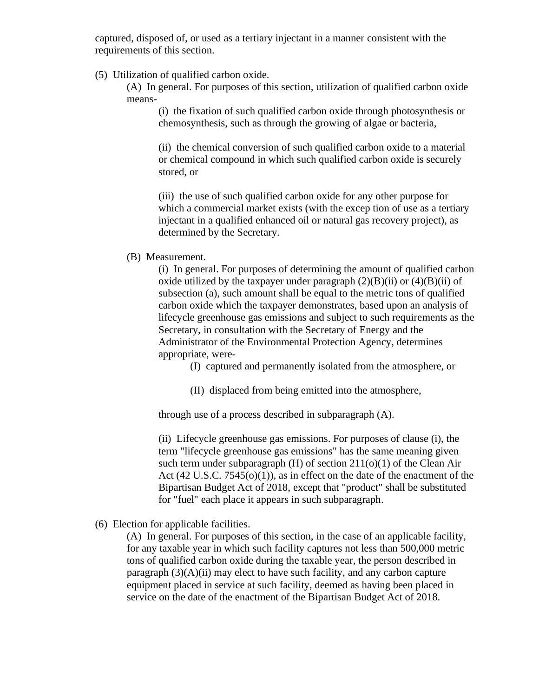captured, disposed of, or used as a tertiary injectant in a manner consistent with the requirements of this section.

(5) Utilization of qualified carbon oxide.

(A) In general. For purposes of this section, utilization of qualified carbon oxide means-

(i) the fixation of such qualified carbon oxide through photosynthesis or chemosynthesis, such as through the growing of algae or bacteria,

(ii) the chemical conversion of such qualified carbon oxide to a material or chemical compound in which such qualified carbon oxide is securely stored, or

(iii) the use of such qualified carbon oxide for any other purpose for which a commercial market exists (with the excep tion of use as a tertiary injectant in a qualified enhanced oil or natural gas recovery project), as determined by the Secretary.

## (B) Measurement.

(i) In general. For purposes of determining the amount of qualified carbon oxide utilized by the taxpayer under paragraph  $(2)(B)(ii)$  or  $(4)(B)(ii)$  of subsection (a), such amount shall be equal to the metric tons of qualified carbon oxide which the taxpayer demonstrates, based upon an analysis of lifecycle greenhouse gas emissions and subject to such requirements as the Secretary, in consultation with the Secretary of Energy and the Administrator of the Environmental Protection Agency, determines appropriate, were-

(I) captured and permanently isolated from the atmosphere, or

(II) displaced from being emitted into the atmosphere,

through use of a process described in subparagraph (A).

(ii) Lifecycle greenhouse gas emissions. For purposes of clause (i), the term "lifecycle greenhouse gas emissions" has the same meaning given such term under subparagraph  $(H)$  of section  $211(0)(1)$  of the Clean Air Act (42 U.S.C. 7545(o)(1)), as in effect on the date of the enactment of the Bipartisan Budget Act of 2018, except that "product" shall be substituted for "fuel" each place it appears in such subparagraph.

(6) Election for applicable facilities.

(A) In general. For purposes of this section, in the case of an applicable facility, for any taxable year in which such facility captures not less than 500,000 metric tons of qualified carbon oxide during the taxable year, the person described in paragraph  $(3)(A)(ii)$  may elect to have such facility, and any carbon capture equipment placed in service at such facility, deemed as having been placed in service on the date of the enactment of the Bipartisan Budget Act of 2018.